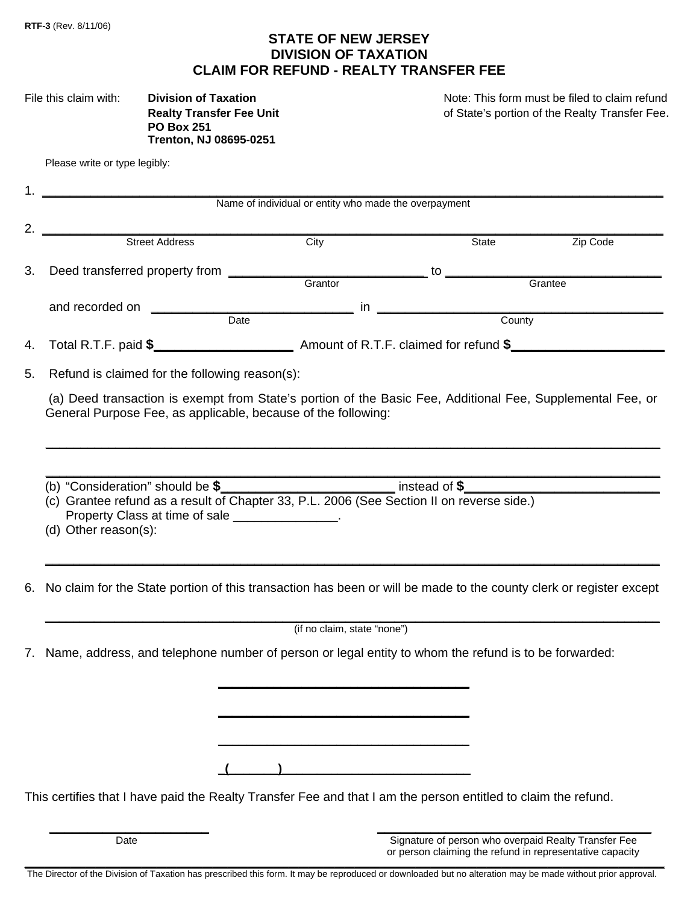# **STATE OF NEW JERSEY DIVISION OF TAXATION CLAIM FOR REFUND - REALTY TRANSFER FEE**

| File this claim with: | <b>Division of Taxation</b>    |  |  |
|-----------------------|--------------------------------|--|--|
|                       | <b>Realty Transfer Fee Uni</b> |  |  |
|                       | <b>PO Box 251</b>              |  |  |
|                       | <b>Trenton, NJ 08695-0251</b>  |  |  |

Note: This form must be filed to claim refund **Realt Islams** Transfer Fee Unit 2011 of State's portion of the Realty Transfer Fee.

|    | Name of individual or entity who made the overpayment                                                                                                                                                    |      |       |                                                      |  |  |  |
|----|----------------------------------------------------------------------------------------------------------------------------------------------------------------------------------------------------------|------|-------|------------------------------------------------------|--|--|--|
| 2. | Street Address                                                                                                                                                                                           | City | State | Zip Code                                             |  |  |  |
|    |                                                                                                                                                                                                          |      |       |                                                      |  |  |  |
| 3. |                                                                                                                                                                                                          |      |       |                                                      |  |  |  |
|    |                                                                                                                                                                                                          |      |       |                                                      |  |  |  |
|    | and recorded on                                                                                                                                                                                          |      |       | Date <b>Date Date Date County</b>                    |  |  |  |
| 4. |                                                                                                                                                                                                          |      |       |                                                      |  |  |  |
| 5. | Refund is claimed for the following reason(s):                                                                                                                                                           |      |       |                                                      |  |  |  |
|    | (a) Deed transaction is exempt from State's portion of the Basic Fee, Additional Fee, Supplemental Fee, or<br>General Purpose Fee, as applicable, because of the following:                              |      |       |                                                      |  |  |  |
|    | (b) "Consideration" should be \$<br>(c) Grantee refund as a result of Chapter 33, P.L. 2006 (See Section II on reverse side.)<br>Property Class at time of sale _______________.<br>(d) Other reason(s): |      |       |                                                      |  |  |  |
| 6. | No claim for the State portion of this transaction has been or will be made to the county clerk or register except                                                                                       |      |       |                                                      |  |  |  |
|    | (if no claim, state "none")                                                                                                                                                                              |      |       |                                                      |  |  |  |
|    | 7. Name, address, and telephone number of person or legal entity to whom the refund is to be forwarded:                                                                                                  |      |       |                                                      |  |  |  |
|    |                                                                                                                                                                                                          |      |       |                                                      |  |  |  |
|    |                                                                                                                                                                                                          |      |       |                                                      |  |  |  |
|    | This certifies that I have paid the Realty Transfer Fee and that I am the person entitled to claim the refund.                                                                                           |      |       |                                                      |  |  |  |
|    |                                                                                                                                                                                                          |      |       |                                                      |  |  |  |
|    | Date                                                                                                                                                                                                     |      |       | Signature of person who overpaid Realty Transfer Fee |  |  |  |

\_\_\_\_\_\_\_\_\_\_\_\_\_\_\_\_\_\_\_\_\_\_\_\_\_\_\_\_\_\_\_\_\_\_\_\_\_\_\_\_\_\_\_\_\_\_\_\_\_\_\_\_\_\_\_\_\_\_\_\_\_\_\_\_\_\_\_\_\_\_\_\_\_\_\_\_\_\_\_\_\_\_\_\_\_\_\_\_\_\_\_\_\_\_\_\_\_\_\_\_\_\_\_\_\_\_\_\_\_\_\_\_\_\_\_\_\_\_\_\_\_\_\_\_\_\_ The Director of the Division of Taxation has prescribed this form. It may be reproduced or downloaded but no alteration may be made without prior approval.

or person claiming the refund in representative capacity